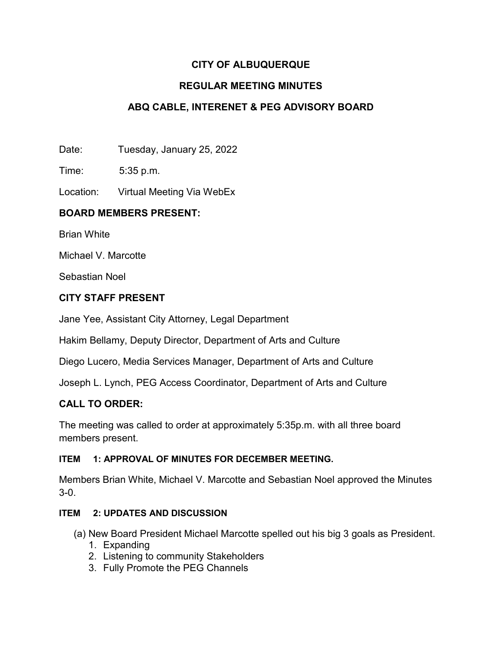# **CITY OF ALBUQUERQUE**

## **REGULAR MEETING MINUTES**

# **ABQ CABLE, INTERENET & PEG ADVISORY BOARD**

Date: Tuesday, January 25, 2022

Time: 5:35 p.m.

Location: Virtual Meeting Via WebEx

### **BOARD MEMBERS PRESENT:**

Brian White

Michael V. Marcotte

Sebastian Noel

### **CITY STAFF PRESENT**

Jane Yee, Assistant City Attorney, Legal Department

Hakim Bellamy, Deputy Director, Department of Arts and Culture

Diego Lucero, Media Services Manager, Department of Arts and Culture

Joseph L. Lynch, PEG Access Coordinator, Department of Arts and Culture

### **CALL TO ORDER:**

The meeting was called to order at approximately 5:35p.m. with all three board members present.

#### **ITEM 1: APPROVAL OF MINUTES FOR DECEMBER MEETING.**

Members Brian White, Michael V. Marcotte and Sebastian Noel approved the Minutes 3-0.

#### **ITEM 2: UPDATES AND DISCUSSION**

(a) New Board President Michael Marcotte spelled out his big 3 goals as President.

- 1. Expanding
- 2. Listening to community Stakeholders
- 3. Fully Promote the PEG Channels